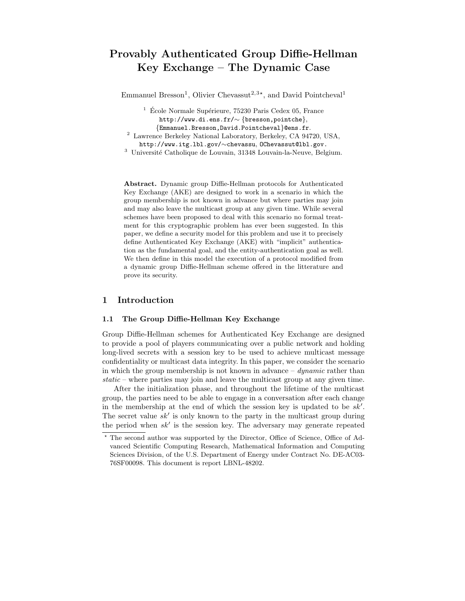# Provably Authenticated Group Diffie-Hellman Key Exchange – The Dynamic Case

Emmanuel Bresson<sup>1</sup>, Olivier Chevassut<sup>2,3\*</sup>, and David Pointcheval<sup>1</sup>

 $1\text{ École Normale Supérieure}, 75230 \text{ Paris Cedex } 05, \text{ France}$ http://www.di.ens.fr/∼ {bresson,pointche}, {Emmanuel.Bresson,David.Pointcheval}@ens.fr.

<sup>2</sup> Lawrence Berkeley National Laboratory, Berkeley, CA 94720, USA, http://www.itg.lbl.gov/∼chevassu, OChevassut@lbl.gov.

 $^3$ Université Catholique de Louvain, 31348 Louvain-la-Neuve, Belgium.

Abstract. Dynamic group Diffie-Hellman protocols for Authenticated Key Exchange (AKE) are designed to work in a scenario in which the group membership is not known in advance but where parties may join and may also leave the multicast group at any given time. While several schemes have been proposed to deal with this scenario no formal treatment for this cryptographic problem has ever been suggested. In this paper, we define a security model for this problem and use it to precisely define Authenticated Key Exchange (AKE) with "implicit" authentication as the fundamental goal, and the entity-authentication goal as well. We then define in this model the execution of a protocol modified from a dynamic group Diffie-Hellman scheme offered in the litterature and prove its security.

# 1 Introduction

### 1.1 The Group Diffie-Hellman Key Exchange

Group Diffie-Hellman schemes for Authenticated Key Exchange are designed to provide a pool of players communicating over a public network and holding long-lived secrets with a session key to be used to achieve multicast message confidentiality or multicast data integrity. In this paper, we consider the scenario in which the group membership is not known in advance –  $dynamic$  rather than static – where parties may join and leave the multicast group at any given time.

After the initialization phase, and throughout the lifetime of the multicast group, the parties need to be able to engage in a conversation after each change in the membership at the end of which the session key is updated to be  $sk'$ . The secret value  $sk'$  is only known to the party in the multicast group during the period when  $sk'$  is the session key. The adversary may generate repeated

<sup>?</sup> The second author was supported by the Director, Office of Science, Office of Advanced Scientific Computing Research, Mathematical Information and Computing Sciences Division, of the U.S. Department of Energy under Contract No. DE-AC03- 76SF00098. This document is report LBNL-48202.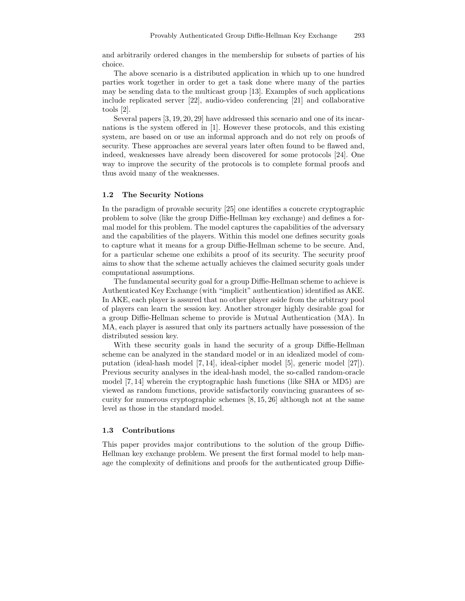and arbitrarily ordered changes in the membership for subsets of parties of his choice.

The above scenario is a distributed application in which up to one hundred parties work together in order to get a task done where many of the parties may be sending data to the multicast group [13]. Examples of such applications include replicated server [22], audio-video conferencing [21] and collaborative tools [2].

Several papers [3, 19, 20, 29] have addressed this scenario and one of its incarnations is the system offered in [1]. However these protocols, and this existing system, are based on or use an informal approach and do not rely on proofs of security. These approaches are several years later often found to be flawed and, indeed, weaknesses have already been discovered for some protocols [24]. One way to improve the security of the protocols is to complete formal proofs and thus avoid many of the weaknesses.

### 1.2 The Security Notions

In the paradigm of provable security [25] one identifies a concrete cryptographic problem to solve (like the group Diffie-Hellman key exchange) and defines a formal model for this problem. The model captures the capabilities of the adversary and the capabilities of the players. Within this model one defines security goals to capture what it means for a group Diffie-Hellman scheme to be secure. And, for a particular scheme one exhibits a proof of its security. The security proof aims to show that the scheme actually achieves the claimed security goals under computational assumptions.

The fundamental security goal for a group Diffie-Hellman scheme to achieve is Authenticated Key Exchange (with "implicit" authentication) identified as AKE. In AKE, each player is assured that no other player aside from the arbitrary pool of players can learn the session key. Another stronger highly desirable goal for a group Diffie-Hellman scheme to provide is Mutual Authentication (MA). In MA, each player is assured that only its partners actually have possession of the distributed session key.

With these security goals in hand the security of a group Diffie-Hellman scheme can be analyzed in the standard model or in an idealized model of computation (ideal-hash model [7, 14], ideal-cipher model [5], generic model [27]). Previous security analyses in the ideal-hash model, the so-called random-oracle model [7, 14] wherein the cryptographic hash functions (like SHA or MD5) are viewed as random functions, provide satisfactorily convincing guarantees of security for numerous cryptographic schemes [8, 15, 26] although not at the same level as those in the standard model.

### 1.3 Contributions

This paper provides major contributions to the solution of the group Diffie-Hellman key exchange problem. We present the first formal model to help manage the complexity of definitions and proofs for the authenticated group Diffie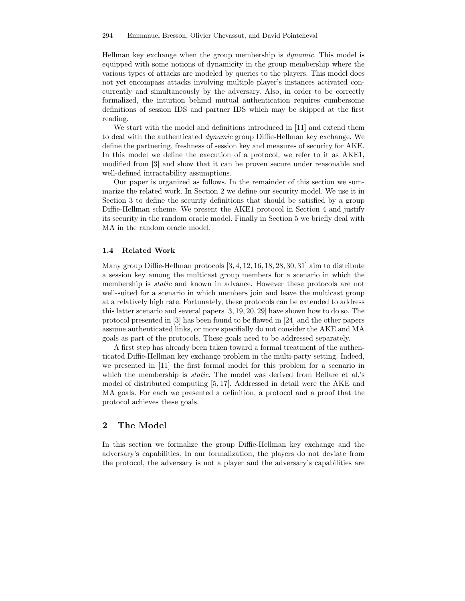Hellman key exchange when the group membership is dynamic. This model is equipped with some notions of dynamicity in the group membership where the various types of attacks are modeled by queries to the players. This model does not yet encompass attacks involving multiple player's instances activated concurrently and simultaneously by the adversary. Also, in order to be correctly formalized, the intuition behind mutual authentication requires cumbersome definitions of session IDS and partner IDS which may be skipped at the first reading.

We start with the model and definitions introduced in [11] and extend them to deal with the authenticated dynamic group Diffie-Hellman key exchange. We define the partnering, freshness of session key and measures of security for AKE. In this model we define the execution of a protocol, we refer to it as AKE1, modified from [3] and show that it can be proven secure under reasonable and well-defined intractability assumptions.

Our paper is organized as follows. In the remainder of this section we summarize the related work. In Section 2 we define our security model. We use it in Section 3 to define the security definitions that should be satisfied by a group Diffie-Hellman scheme. We present the AKE1 protocol in Section 4 and justify its security in the random oracle model. Finally in Section 5 we briefly deal with MA in the random oracle model.

# 1.4 Related Work

Many group Diffie-Hellman protocols [3, 4, 12, 16, 18, 28, 30, 31] aim to distribute a session key among the multicast group members for a scenario in which the membership is *static* and known in advance. However these protocols are not well-suited for a scenario in which members join and leave the multicast group at a relatively high rate. Fortunately, these protocols can be extended to address this latter scenario and several papers [3, 19, 20, 29] have shown how to do so. The protocol presented in [3] has been found to be flawed in [24] and the other papers assume authenticated links, or more specifially do not consider the AKE and MA goals as part of the protocols. These goals need to be addressed separately.

A first step has already been taken toward a formal treatment of the authenticated Diffie-Hellman key exchange problem in the multi-party setting. Indeed, we presented in [11] the first formal model for this problem for a scenario in which the membership is *static*. The model was derived from Bellare et al.'s model of distributed computing [5, 17]. Addressed in detail were the AKE and MA goals. For each we presented a definition, a protocol and a proof that the protocol achieves these goals.

# 2 The Model

In this section we formalize the group Diffie-Hellman key exchange and the adversary's capabilities. In our formalization, the players do not deviate from the protocol, the adversary is not a player and the adversary's capabilities are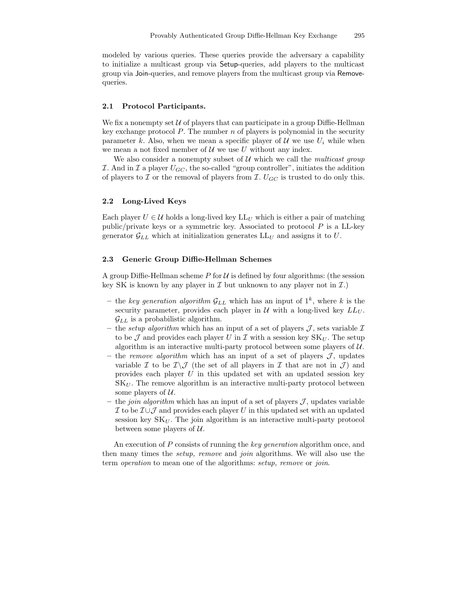modeled by various queries. These queries provide the adversary a capability to initialize a multicast group via Setup-queries, add players to the multicast group via Join-queries, and remove players from the multicast group via Removequeries.

### 2.1 Protocol Participants.

We fix a nonempty set  $U$  of players that can participate in a group Diffie-Hellman key exchange protocol  $P$ . The number  $n$  of players is polynomial in the security parameter k. Also, when we mean a specific player of  $U$  we use  $U_i$  while when we mean a not fixed member of  $U$  we use U without any index.

We also consider a nonempty subset of  $U$  which we call the *multicast group* I. And in I a player  $U_{GC}$ , the so-called "group controller", initiates the addition of players to I or the removal of players from I.  $U_{GC}$  is trusted to do only this.

# 2.2 Long-Lived Keys

Each player  $U \in \mathcal{U}$  holds a long-lived key  $LL_U$  which is either a pair of matching public/private keys or a symmetric key. Associated to protocol  $P$  is a LL-key generator  $\mathcal{G}_{LL}$  which at initialization generates  $LL_U$  and assigns it to U.

# 2.3 Generic Group Diffie-Hellman Schemes

A group Diffie-Hellman scheme  $P$  for  $U$  is defined by four algorithms: (the session key SK is known by any player in  $\mathcal I$  but unknown to any player not in  $\mathcal I$ .)

- the key generation algorithm  $\mathcal{G}_{LL}$  which has an input of  $1^k$ , where k is the security parameter, provides each player in  $U$  with a long-lived key  $LL_U$ .  $\mathcal{G}_{LL}$  is a probabilistic algorithm.
- the setup algorithm which has an input of a set of players  $J$ , sets variable  $I$ to be  $\mathcal J$  and provides each player U in  $\mathcal I$  with a session key  $SK_U$ . The setup algorithm is an interactive multi-party protocol between some players of  $U$ .
- the remove algorithm which has an input of a set of players  $\mathcal{J}$ , updates variable I to be  $I \setminus J$  (the set of all players in I that are not in J) and provides each player  $U$  in this updated set with an updated session key  $SK<sub>U</sub>$ . The remove algorithm is an interactive multi-party protocol between some players of  $U$ .
- the *join algorithm* which has an input of a set of players  $J$ , updates variable I to be  $\mathcal{I}\cup\mathcal{J}$  and provides each player U in this updated set with an updated session key  $SK_U$ . The join algorithm is an interactive multi-party protocol between some players of  $U$ .

An execution of P consists of running the key generation algorithm once, and then many times the setup, remove and join algorithms. We will also use the term *operation* to mean one of the algorithms: *setup*, *remove* or *join*.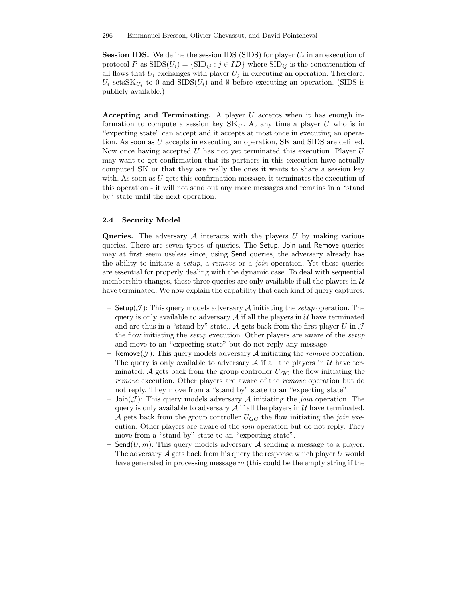**Session IDS.** We define the session IDS (SIDS) for player  $U_i$  in an execution of protocol P as  $\text{SIDS}(U_i) = \{\text{SID}_{ij} : j \in ID\}$  where  $\text{SID}_{ij}$  is the concatenation of all flows that  $U_i$  exchanges with player  $U_j$  in executing an operation. Therefore,  $U_i$  sets SK $U_i$  to 0 and SIDS( $U_i$ ) and Ø before executing an operation. (SIDS is publicly available.)

Accepting and Terminating. A player  $U$  accepts when it has enough information to compute a session key  $SK_U$ . At any time a player U who is in "expecting state" can accept and it accepts at most once in executing an operation. As soon as U accepts in executing an operation, SK and SIDS are defined. Now once having accepted  $U$  has not yet terminated this execution. Player  $U$ may want to get confirmation that its partners in this execution have actually computed SK or that they are really the ones it wants to share a session key with. As soon as  $U$  gets this confirmation message, it terminates the execution of this operation - it will not send out any more messages and remains in a "stand by" state until the next operation.

# 2.4 Security Model

Queries. The adversary  $A$  interacts with the players U by making various queries. There are seven types of queries. The Setup, Join and Remove queries may at first seem useless since, using Send queries, the adversary already has the ability to initiate a setup, a remove or a join operation. Yet these queries are essential for properly dealing with the dynamic case. To deal with sequential membership changes, these three queries are only available if all the players in  $\mathcal U$ have terminated. We now explain the capability that each kind of query captures.

- Setup $(\mathcal{J})$ : This query models adversary A initiating the *setup* operation. The query is only available to adversary  $A$  if all the players in  $U$  have terminated and are thus in a "stand by" state.. A gets back from the first player U in  $\mathcal J$ the flow initiating the setup execution. Other players are aware of the setup and move to an "expecting state" but do not reply any message.
- Remove( $\mathcal{J}$ ): This query models adversary  $\mathcal{A}$  initiating the *remove* operation. The query is only available to adversary  $A$  if all the players in  $U$  have terminated. A gets back from the group controller  $U_{GC}$  the flow initiating the remove execution. Other players are aware of the remove operation but do not reply. They move from a "stand by" state to an "expecting state".
- Join( $J$ ): This query models adversary A initiating the *join* operation. The query is only available to adversary  $A$  if all the players in  $U$  have terminated. A gets back from the group controller  $U_{GC}$  the flow initiating the join execution. Other players are aware of the join operation but do not reply. They move from a "stand by" state to an "expecting state".
- Send $(U, m)$ : This query models adversary A sending a message to a player. The adversary  $A$  gets back from his query the response which player U would have generated in processing message  $m$  (this could be the empty string if the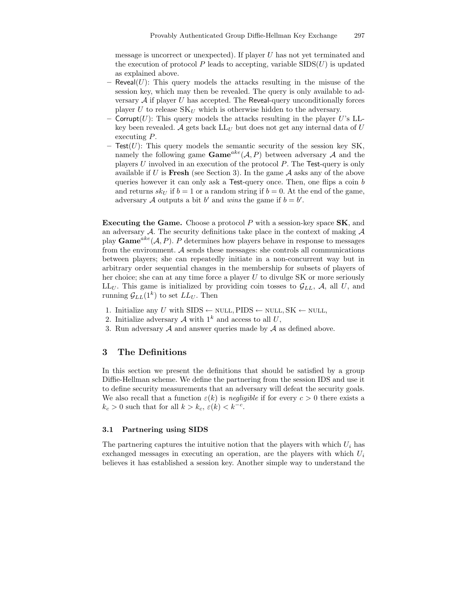message is uncorrect or unexpected). If player U has not yet terminated and the execution of protocol P leads to accepting, variable  $\text{SIDS}(U)$  is updated as explained above.

- Reveal $(U)$ : This query models the attacks resulting in the misuse of the session key, which may then be revealed. The query is only available to adversary  $A$  if player  $U$  has accepted. The Reveal-query unconditionally forces player U to release  $SK_U$  which is otherwise hidden to the adversary.
- Corrupt( $U$ ): This query models the attacks resulting in the player  $U$ 's LLkey been revealed. A gets back  $LL_U$  but does not get any internal data of U executing P.
- Test $(U)$ : This query models the semantic security of the session key SK, namely the following game  $\text{Game}^{ake}(\mathcal{A}, P)$  between adversary  $\mathcal A$  and the players U involved in an execution of the protocol  $P$ . The Test-query is only available if U is **Fresh** (see Section 3). In the game  $A$  asks any of the above queries however it can only ask a Test-query once. Then, one flips a coin  $b$ and returns  $sk_U$  if  $b = 1$  or a random string if  $b = 0$ . At the end of the game, adversary A outputs a bit b' and wins the game if  $b = b'$ .

**Executing the Game.** Choose a protocol  $P$  with a session-key space  $SK$ , and an adversary A. The security definitions take place in the context of making  $A$ play  $\text{Game}^{ake}(\mathcal{A}, P)$ . P determines how players behave in response to messages from the environment. A sends these messages: she controls all communications between players; she can repeatedly initiate in a non-concurrent way but in arbitrary order sequential changes in the membership for subsets of players of her choice; she can at any time force a player  $U$  to divulge SK or more seriously  $LL_U$ . This game is initialized by providing coin tosses to  $\mathcal{G}_{LL}$ , A, all U, and running  $\mathcal{G}_{LL}(1^k)$  to set  $LL_U$ . Then

- 1. Initialize any U with  $SIDS \leftarrow NULL, PIDS \leftarrow NULL, SK \leftarrow NULL,$
- 2. Initialize adversary  $A$  with  $1^k$  and access to all U,
- 3. Run adversary  $A$  and answer queries made by  $A$  as defined above.

# 3 The Definitions

In this section we present the definitions that should be satisfied by a group Diffie-Hellman scheme. We define the partnering from the session IDS and use it to define security measurements that an adversary will defeat the security goals. We also recall that a function  $\varepsilon(k)$  is negligible if for every  $c > 0$  there exists a  $k_c > 0$  such that for all  $k > k_c$ ,  $\varepsilon(k) < k^{-c}$ .

### 3.1 Partnering using SIDS

The partnering captures the intuitive notion that the players with which  $U_i$  has exchanged messages in executing an operation, are the players with which  $U_i$ believes it has established a session key. Another simple way to understand the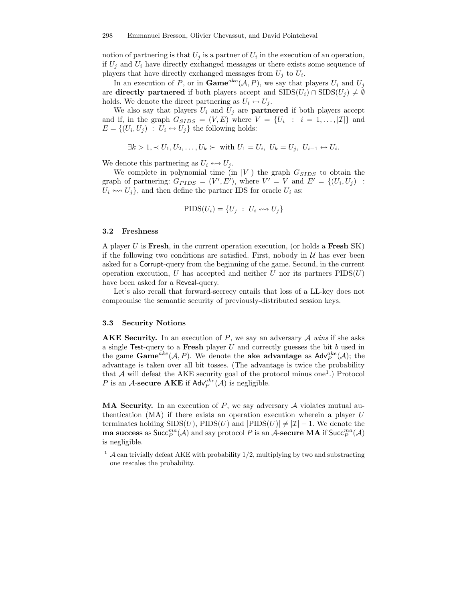notion of partnering is that  $U_j$  is a partner of  $U_i$  in the execution of an operation, if  $U_j$  and  $U_i$  have directly exchanged messages or there exists some sequence of players that have directly exchanged messages from  $U_j$  to  $U_i$ .

In an execution of P, or in  $\text{Game}^{ake}(\mathcal{A}, P)$ , we say that players  $U_i$  and  $U_j$ are directly partnered if both players accept and  $\text{SIDS}(U_i) \cap \text{SIDS}(U_j) \neq \emptyset$ holds. We denote the direct partnering as  $U_i \leftrightarrow U_j$ .

We also say that players  $U_i$  and  $U_j$  are **partnered** if both players accept and if, in the graph  $G_{SIDS} = (V, E)$  where  $V = \{U_i : i = 1, ..., |\mathcal{I}|\}$  and  $E = \{(U_i, U_j) : U_i \leftrightarrow U_j\}$  the following holds:

$$
\exists k \ge 1, \prec U_1, U_2, \ldots, U_k \succ \text{ with } U_1 = U_i, U_k = U_j, U_{i-1} \leftrightarrow U_i.
$$

We denote this partnering as  $U_i \leftrightarrow U_j$ .

We complete in polynomial time (in  $|V|$ ) the graph  $G_{SIDS}$  to obtain the graph of partnering:  $G_{PIDS} = (V', E')$ , where  $V' = V$  and  $E' = \{(U_i, U_j)$ :  $U_i \leftrightarrow U_j$ , and then define the partner IDS for oracle  $U_i$  as:

$$
\text{PIDS}(U_i) = \{U_j : U_i \leftrightarrow U_j\}
$$

#### 3.2 Freshness

A player U is **Fresh**, in the current operation execution, (or holds a **Fresh** SK) if the following two conditions are satisfied. First, nobody in  $\mathcal U$  has ever been asked for a Corrupt-query from the beginning of the game. Second, in the current operation execution, U has accepted and neither U nor its partners  $\text{PIDS}(U)$ have been asked for a Reveal-query.

Let's also recall that forward-secrecy entails that loss of a LL-key does not compromise the semantic security of previously-distributed session keys.

#### 3.3 Security Notions

AKE Security. In an execution of  $P$ , we say an adversary  $A$  wins if she asks a single Test-query to a Fresh player  $U$  and correctly guesses the bit  $b$  used in the game  $\text{Game}^{ake}(\mathcal{A}, P)$ . We denote the ake advantage as  $\text{Adv}^{ake}_{P}(\mathcal{A})$ ; the advantage is taken over all bit tosses. (The advantage is twice the probability that  $A$  will defeat the AKE security goal of the protocol minus one<sup>1</sup>.) Protocol P is an A-secure AKE if  $\mathsf{Adv}_{P}^{ake}(\mathcal{A})$  is negligible.

**MA Security.** In an execution of  $P$ , we say adversary  $\mathcal A$  violates mutual authentication  $(MA)$  if there exists an operation execution wherein a player U terminates holding  $\text{SIDS}(U)$ ,  $\text{PIDS}(U)$  and  $|\text{PIDS}(U)| \neq |\mathcal{I}| - 1$ . We denote the  ${\bf m}$ a success as Succ $_{P}^{ma}({\cal A})$  and say protocol  $P$  is an  ${\cal A}$ -secure  ${\bf MA}$  if Succ $_{P}^{ma}({\cal A})$ is negligible.

 $^1$   $\mathcal A$  can trivially defeat AKE with probability 1/2, multiplying by two and substracting one rescales the probability.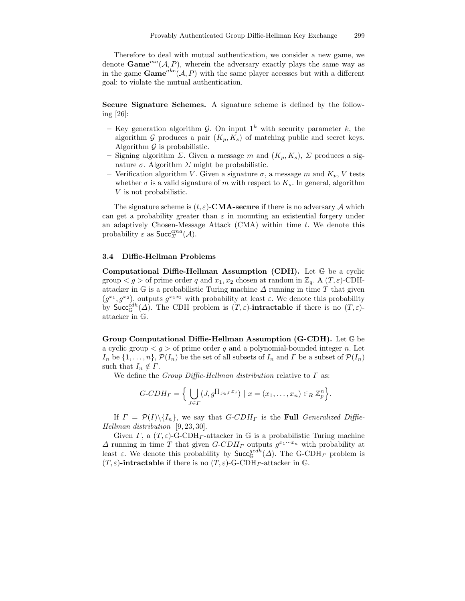Therefore to deal with mutual authentication, we consider a new game, we denote  $\mathbf{Game}^{ma}(\mathcal{A}, P)$ , wherein the adversary exactly plays the same way as in the game  $\text{Game}^{ake}(\mathcal{A}, P)$  with the same player accesses but with a different goal: to violate the mutual authentication.

Secure Signature Schemes. A signature scheme is defined by the following [26]:

- Key generation algorithm G. On input  $1^k$  with security parameter k, the algorithm G produces a pair  $(K_p, K_s)$  of matching public and secret keys. Algorithm  $\mathcal G$  is probabilistic.
- Signing algorithm  $\Sigma$ . Given a message m and  $(K_p, K_s)$ ,  $\Sigma$  produces a signature  $\sigma$ . Algorithm  $\Sigma$  might be probabilistic.
- Verification algorithm V. Given a signature  $\sigma$ , a message m and  $K_p$ , V tests whether  $\sigma$  is a valid signature of m with respect to  $K_s$ . In general, algorithm V is not probabilistic.

The signature scheme is  $(t, \varepsilon)$ -CMA-secure if there is no adversary A which can get a probability greater than  $\varepsilon$  in mounting an existential forgery under an adaptively Chosen-Message Attack (CMA) within time  $t$ . We denote this probability  $\varepsilon$  as  $\mathsf{Succ}_{\Sigma}^{cma}(\mathcal{A})$ .

### 3.4 Diffie-Hellman Problems

Computational Diffie-Hellman Assumption (CDH). Let G be a cyclic group  $\langle g \rangle$  of prime order q and  $x_1, x_2$  chosen at random in  $\mathbb{Z}_q$ . A  $(T, \varepsilon)$ -CDHattacker in G is a probabilistic Turing machine  $\Delta$  running in time T that given  $(g^{x_1}, g^{x_2})$ , outputs  $g^{x_1x_2}$  with probability at least  $\varepsilon$ . We denote this probability by Succ<sup> $\det_{\mathbb{G}}(A)$ . The CDH problem is  $(T,\varepsilon)$ -intractable if there is no  $(T,\varepsilon)$ -</sup> attacker in G.

Group Computational Diffie-Hellman Assumption (G-CDH). Let G be a cyclic group  $\langle q \rangle$  of prime order q and a polynomial-bounded integer n. Let  $I_n$  be  $\{1,\ldots,n\}$ ,  $\mathcal{P}(I_n)$  be the set of all subsets of  $I_n$  and  $\Gamma$  be a subset of  $\mathcal{P}(I_n)$ such that  $I_n \notin \Gamma$ .

We define the *Group Diffie-Hellman distribution* relative to  $\Gamma$  as:

$$
G\text{-}CDH_{\Gamma} = \Big\{ \bigcup_{J\in\Gamma} (J, g^{\prod_{j\in J} x_j}) \mid x = (x_1, \ldots, x_n) \in_R \mathbb{Z}_p^n \Big\}.
$$

If  $\Gamma = \mathcal{P}(I) \setminus \{I_n\}$ , we say that  $G\text{-}CDH_\Gamma$  is the Full Generalized Diffie-Hellman distribution [9, 23, 30].

Given  $\Gamma$ , a  $(T, \varepsilon)$ -G-CDH<sub> $\Gamma$ </sub>-attacker in G is a probabilistic Turing machine  $\Delta$  running in time T that given  $G\text{-}CDH<sub>\Gamma</sub>$  outputs  $g^{x_1\cdots x_n}$  with probability at least  $\varepsilon$ . We denote this probability by  $\mathsf{Succ}^{gcdh}_{\mathbb{G}}(\Delta)$ . The G-CDH<sub>Γ</sub> problem is  $(T, \varepsilon)$ -intractable if there is no  $(T, \varepsilon)$ -G-CDH<sub>*Γ*</sub>-attacker in G.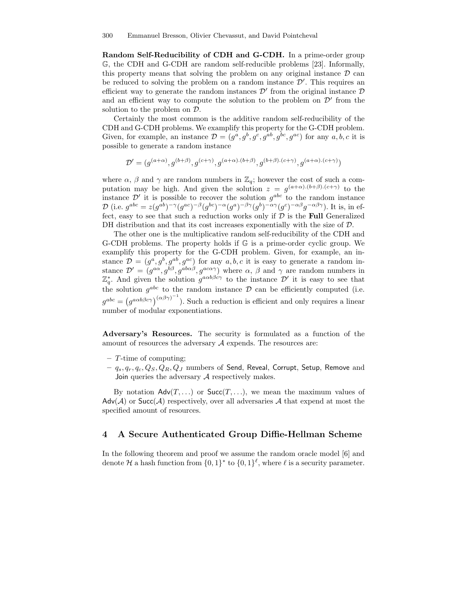Random Self-Reducibility of CDH and G-CDH. In a prime-order group G, the CDH and G-CDH are random self-reducible problems [23]. Informally, this property means that solving the problem on any original instance  $\mathcal D$  can be reduced to solving the problem on a random instance  $\mathcal{D}'$ . This requires an efficient way to generate the random instances  $\mathcal{D}'$  from the original instance  $\mathcal D$ and an efficient way to compute the solution to the problem on  $\mathcal{D}'$  from the solution to the problem on D.

Certainly the most common is the additive random self-reducibility of the CDH and G-CDH problems. We examplify this property for the G-CDH problem. Given, for example, an instance  $\mathcal{D} = (g^a, g^b, g^c, g^{ab}, g^{bc}, g^{ac})$  for any  $a, b, c$  it is possible to generate a random instance

$$
\mathcal{D}' = (g^{(a+\alpha)}, g^{(b+\beta)}, g^{(c+\gamma)}, g^{(a+\alpha)\cdot (b+\beta)}, g^{(b+\beta)\cdot (c+\gamma)}, g^{(a+\alpha)\cdot (c+\gamma)})
$$

where  $\alpha$ ,  $\beta$  and  $\gamma$  are random numbers in  $\mathbb{Z}_q$ ; however the cost of such a computation may be high. And given the solution  $z = g^{(a+\alpha)(b+\beta)(c+\gamma)}$  to the instance  $\mathcal{D}'$  it is possible to recover the solution  $g^{abc}$  to the random instance  $\mathcal{D}$  (i.e.  $g^{abc} = z(g^{ab})^{-\gamma}(g^{ac})^{-\beta}(g^{bc})^{-\alpha}(g^a)^{-\beta\gamma}(g^b)^{-\alpha\gamma}(g^c)^{-\alpha\beta}g^{-\alpha\beta\gamma}$ ). It is, in effect, easy to see that such a reduction works only if  $D$  is the **Full** Generalized DH distribution and that its cost increases exponentially with the size of  $D$ .

The other one is the multiplicative random self-reducibility of the CDH and G-CDH problems. The property holds if G is a prime-order cyclic group. We examplify this property for the G-CDH problem. Given, for example, an instance  $\mathcal{D} = (g^a, g^b, g^{ab}, g^{ac})$  for any  $a, b, c$  it is easy to generate a random instance  $\mathcal{D}' = (g^{a\alpha}, g^{b\beta}, g^{a b \alpha \beta}, g^{a c \alpha \gamma})$  where  $\alpha$ ,  $\beta$  and  $\gamma$  are random numbers in  $\mathbb{Z}_q^*$ . And given the solution  $g^{a\alpha b\beta c\gamma}$  to the instance  $\mathcal{D}'$  it is easy to see that the solution  $g^{abc}$  to the random instance  $\mathcal D$  can be efficiently computed (i.e.  $g^{abc} = (g^{a\alpha b\beta c\gamma})^{(\alpha\beta\gamma)^{-1}}$ ). Such a reduction is efficient and only requires a linear number of modular exponentiations.

Adversary's Resources. The security is formulated as a function of the amount of resources the adversary  $A$  expends. The resources are:

- $-$  T-time of computing;
- $q_s, q_r, q_c, Q_S, Q_R, Q_J$  numbers of Send, Reveal, Corrupt, Setup, Remove and Join queries the adversary  $A$  respectively makes.

By notation  $\mathsf{Adv}(T, \ldots)$  or  $\mathsf{Succ}(T, \ldots)$ , we mean the maximum values of  $\mathsf{Adv}(\mathcal{A})$  or  $\mathsf{Succ}(\mathcal{A})$  respectively, over all adversaries  $\mathcal{A}$  that expend at most the specified amount of resources.

# 4 A Secure Authenticated Group Diffie-Hellman Scheme

In the following theorem and proof we assume the random oracle model [6] and denote H a hash function from  $\{0,1\}^*$  to  $\{0,1\}^{\ell}$ , where  $\ell$  is a security parameter.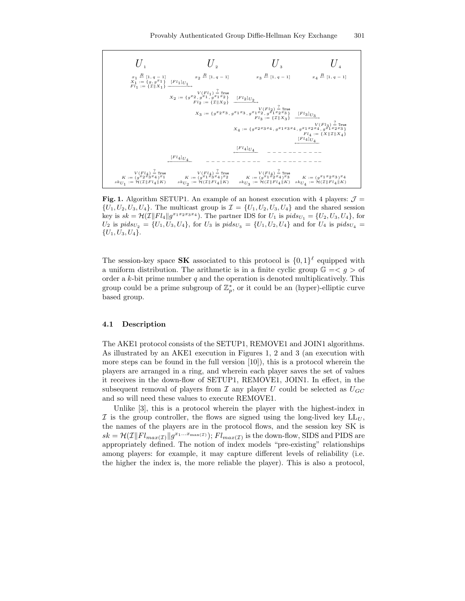

Fig. 1. Algorithm SETUP1. An example of an honest execution with 4 players:  $\mathcal{J} =$  $\{U_1, U_2, U_3, U_4\}$ . The multicast group is  $\mathcal{I} = \{U_1, U_2, U_3, U_4\}$  and the shared session key is  $sk = \mathcal{H}(\mathcal{I}||Fl_4||g^{x_1x_2x_3x_4})$ . The partner IDS for  $U_1$  is  $pids_{U_1} = \{U_2, U_3, U_4\}$ , for  $U_2$  is  $pids_{U_2} = \{U_1, U_3, U_4\}$ , for  $U_3$  is  $pids_{U_3} = \{U_1, U_2, U_4\}$  and for  $U_4$  is  $pids_{U_4} =$  $\{U_1, U_3, U_4\}.$ 

The session-key space **SK** associated to this protocol is  $\{0,1\}^{\ell}$  equipped with a uniform distribution. The arithmetic is in a finite cyclic group  $\mathbb{G} = \langle g \rangle$  of order a  $k$ -bit prime number  $q$  and the operation is denoted multiplicatively. This group could be a prime subgroup of  $\mathbb{Z}_p^*$ , or it could be an (hyper)-elliptic curve based group.

# 4.1 Description

The AKE1 protocol consists of the SETUP1, REMOVE1 and JOIN1 algorithms. As illustrated by an AKE1 execution in Figures 1, 2 and 3 (an execution with more steps can be found in the full version [10]), this is a protocol wherein the players are arranged in a ring, and wherein each player saves the set of values it receives in the down-flow of SETUP1, REMOVE1, JOIN1. In effect, in the subsequent removal of players from  $\mathcal I$  any player U could be selected as  $U_{GC}$ and so will need these values to execute REMOVE1.

Unlike [3], this is a protocol wherein the player with the highest-index in  $I$  is the group controller, the flows are signed using the long-lived key  $LL_U$ , the names of the players are in the protocol flows, and the session key SK is  $sk = \mathcal{H}(\mathcal{I}||Fl_{max(\mathcal{I})}||g^{x_1...x_{\max(\mathcal{I})}}); Fl_{max(\mathcal{I})}$  is the down-flow, SIDS and PIDS are appropriately defined. The notion of index models "pre-existing" relationships among players: for example, it may capture different levels of reliability (i.e. the higher the index is, the more reliable the player). This is also a protocol,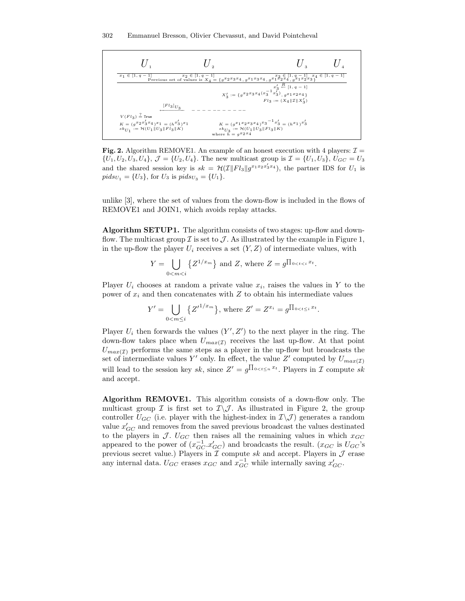

**Fig. 2.** Algorithm REMOVE1. An example of an honest execution with 4 players:  $\mathcal{I} =$  $\{U_1, U_2, U_3, U_4\}, \mathcal{J} = \{U_2, U_4\}.$  The new multicast group is  $\mathcal{I} = \{U_1, U_3\}, U_{GC} = U_3$ and the shared session key is  $sk = \mathcal{H}(\mathcal{I}||Fl_3||g^{x_1x_2x_3'x_4})$ , the partner IDS for  $U_1$  is  $pids_{U_1} = \{U_3\}$ , for  $U_3$  is  $pids_{U_3} = \{U_1\}$ .

unlike [3], where the set of values from the down-flow is included in the flows of REMOVE1 and JOIN1, which avoids replay attacks.

Algorithm SETUP1. The algorithm consists of two stages: up-flow and downflow. The multicast group  $\mathcal I$  is set to  $\mathcal J$ . As illustrated by the example in Figure 1, in the up-flow the player  $U_i$  receives a set  $(Y, Z)$  of intermediate values, with

$$
Y = \bigcup_{0 < m < i} \left\{ Z^{1/x_m} \right\} \text{ and } Z \text{, where } Z = g^{\prod_{0 < t < i} x_t}.
$$

Player  $U_i$  chooses at random a private value  $x_i$ , raises the values in Y to the power of  $x_i$  and then concatenates with Z to obtain his intermediate values

$$
Y' = \bigcup_{0 < m \le i} \{ Z'^{1/x_m} \}, \text{ where } Z' = Z^{x_i} = g^{\prod_{0 < t \le i} x_t}.
$$

Player  $U_i$  then forwards the values  $(Y', Z')$  to the next player in the ring. The down-flow takes place when  $U_{max(\mathcal{I})}$  receives the last up-flow. At that point  $U_{max(\mathcal{I})}$  performs the same steps as a player in the up-flow but broadcasts the set of intermediate values Y' only. In effect, the value Z' computed by  $U_{max(\mathcal{I})}$ will lead to the session key sk, since  $Z' = g^{\prod_{0 \le t \le n} x_t}$ . Players in  $\mathcal I$  compute sk and accept.

Algorithm REMOVE1. This algorithm consists of a down-flow only. The multicast group  $\mathcal I$  is first set to  $\mathcal I\setminus\mathcal J$ . As illustrated in Figure 2, the group controller  $U_{GC}$  (i.e. player with the highest-index in  $\mathcal{I}\setminus\mathcal{J}$ ) generates a random value  $x'_{GC}$  and removes from the saved previous broadcast the values destinated to the players in  $\mathcal{J}.$   $U_{GC}$  then raises all the remaining values in which  $x_{GC}$ appeared to the power of  $(x_{GC}^{-1}.x_{GC}')$  and broadcasts the result.  $(x_{GC}$  is  $U_{GC}$ 's previous secret value.) Players in  $\mathcal I$  compute  $sk$  and accept. Players in  $\mathcal J$  erase any internal data.  $U_{GC}$  erases  $x_{GC}$  and  $x_{GC}^{-1}$  while internally saving  $x'_{GC}$ .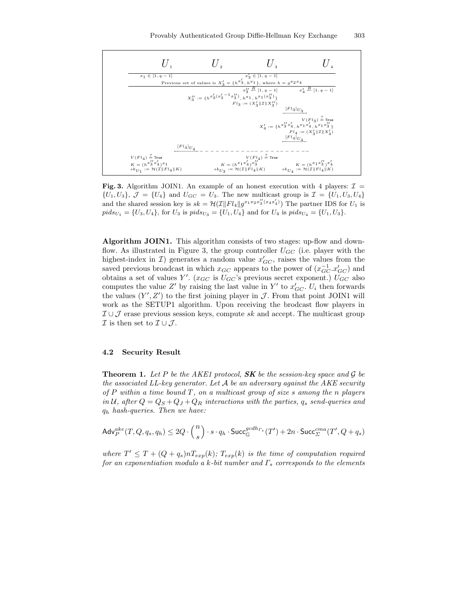

**Fig. 3.** Algorithm JOIN1. An example of an honest execution with 4 players:  $\mathcal{I} =$  $\{U_1, U_3\}, \mathcal{J} = \{U_4\}$  and  $U_{GC} = U_3$ . The new multicast group is  $\mathcal{I} = \{U_1, U_3, U_4\}$ and the shared session key is  $sk = \mathcal{H}(\mathcal{I}||Fl_4||g^{x_1x_2x_3''(x_4x_4')})$  The partner IDS for  $U_1$  is  $pids_{U_1} = \{U_3, U_4\}$ , for  $U_3$  is  $pids_{U_3} = \{U_1, U_4\}$  and for  $U_4$  is  $pids_{U_4} = \{U_1, U_3\}$ .

Algorithm JOIN1. This algorithm consists of two stages: up-flow and downflow. As illustrated in Figure 3, the group controller  $U_{GC}$  (i.e. player with the highest-index in  $\mathcal{I}$ ) generates a random value  $x'_{GC}$ , raises the values from the saved previous broadcast in which  $x_{GC}$  appears to the power of  $(x_{GC}^{-1}.x_{GC}')$  and obtains a set of values Y'. ( $x_{GC}$  is  $U_{GC}$ 's previous secret exponent.)  $U_{GC}$  also computes the value  $Z'$  by raising the last value in Y' to  $x'_{GC}$ .  $U_i$  then forwards the values  $(Y', Z')$  to the first joining player in  $\mathcal J$ . From that point JOIN1 will work as the SETUP1 algorithm. Upon receiving the brodcast flow players in  $\mathcal{I} \cup \mathcal{J}$  erase previous session keys, compute sk and accept. The multicast group  $\mathcal I$  is then set to  $\mathcal I \cup \mathcal J$ .

### 4.2 Security Result

**Theorem 1.** Let P be the AKE1 protocol, **SK** be the session-key space and G be the associated LL-key generator. Let  $A$  be an adversary against the AKE security of  $P$  within a time bound  $T$ , on a multicast group of size s among the n players in U, after  $Q = Q_S + Q_J + Q_R$  interactions with the parties,  $q_s$  send-queries and  $q_h$  hash-queries. Then we have:

$$
\mathsf{Adv}^{ake}_{P}(T, Q, q_s, q_h) \leq 2 Q \cdot \left( n \atop s \right) \cdot s \cdot q_h \cdot \mathsf{Succ}^{gcdh_{\Gamma_s}}_{\mathbb{G}}(T') + 2 n \cdot \mathsf{Succ}^{cma}_{\varSigma}(T', Q+q_s)
$$

where  $T' \leq T + (Q + q_s)nT_{exp}(k)$ ;  $T_{exp}(k)$  is the time of computation required for an exponentiation modulo a k-bit number and  $\Gamma_s$  corresponds to the elements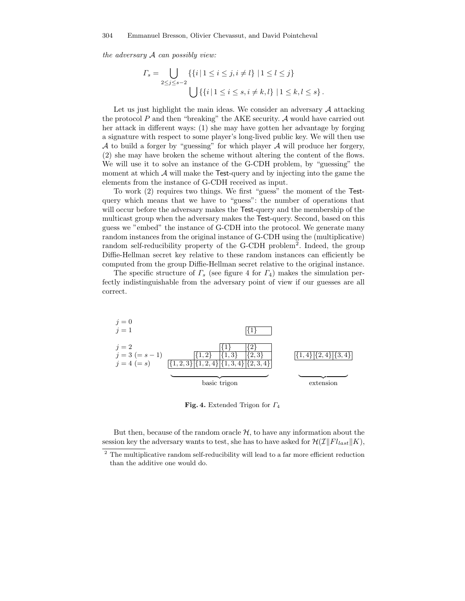the adversary A can possibly view:

$$
\Gamma_s = \bigcup_{2 \le j \le s-2} \{ \{i \mid 1 \le i \le j, i \ne l\} \mid 1 \le l \le j \}
$$
  

$$
\bigcup \{ \{i \mid 1 \le i \le s, i \ne k, l\} \mid 1 \le k, l \le s \}.
$$

Let us just highlight the main ideas. We consider an adversary  $A$  attacking the protocol  $P$  and then "breaking" the AKE security.  $A$  would have carried out her attack in different ways: (1) she may have gotten her advantage by forging a signature with respect to some player's long-lived public key. We will then use  $\mathcal A$  to build a forger by "guessing" for which player  $\mathcal A$  will produce her forgery, (2) she may have broken the scheme without altering the content of the flows. We will use it to solve an instance of the G-CDH problem, by "guessing" the moment at which  $\mathcal A$  will make the Test-query and by injecting into the game the elements from the instance of G-CDH received as input.

To work (2) requires two things. We first "guess" the moment of the Testquery which means that we have to "guess": the number of operations that will occur before the adversary makes the Test-query and the membership of the multicast group when the adversary makes the Test-query. Second, based on this guess we "embed" the instance of G-CDH into the protocol. We generate many random instances from the original instance of G-CDH using the (multiplicative) random self-reducibility property of the G-CDH problem<sup>2</sup>. Indeed, the group Diffie-Hellman secret key relative to these random instances can efficiently be computed from the group Diffie-Hellman secret relative to the original instance.

The specific structure of  $\Gamma_s$  (see figure 4 for  $\Gamma_4$ ) makes the simulation perfectly indistinguishable from the adversary point of view if our guesses are all correct.



Fig. 4. Extended Trigon for  $\Gamma_4$ 

But then, because of the random oracle  $H$ , to have any information about the session key the adversary wants to test, she has to have asked for  $\mathcal{H}(\mathcal{I}||Fl_{last}||K)$ ,

<sup>&</sup>lt;sup>2</sup> The multiplicative random self-reducibility will lead to a far more efficient reduction than the additive one would do.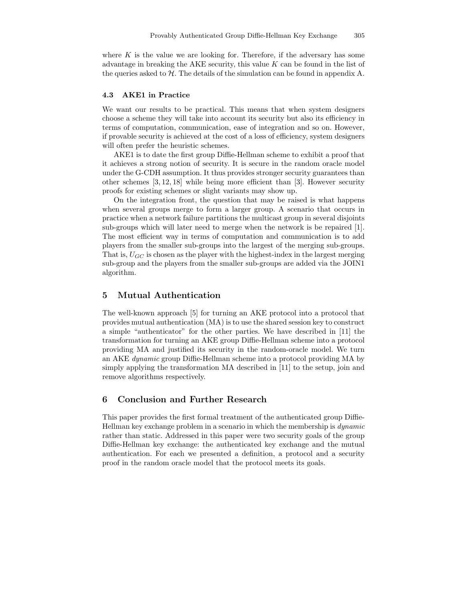where  $K$  is the value we are looking for. Therefore, if the adversary has some advantage in breaking the AKE security, this value  $K$  can be found in the list of the queries asked to  $H$ . The details of the simulation can be found in appendix A.

### 4.3 AKE1 in Practice

We want our results to be practical. This means that when system designers choose a scheme they will take into account its security but also its efficiency in terms of computation, communication, ease of integration and so on. However, if provable security is achieved at the cost of a loss of efficiency, system designers will often prefer the heuristic schemes.

AKE1 is to date the first group Diffie-Hellman scheme to exhibit a proof that it achieves a strong notion of security. It is secure in the random oracle model under the G-CDH assumption. It thus provides stronger security guarantees than other schemes [3, 12, 18] while being more efficient than [3]. However security proofs for existing schemes or slight variants may show up.

On the integration front, the question that may be raised is what happens when several groups merge to form a larger group. A scenario that occurs in practice when a network failure partitions the multicast group in several disjoints sub-groups which will later need to merge when the network is be repaired [1]. The most efficient way in terms of computation and communication is to add players from the smaller sub-groups into the largest of the merging sub-groups. That is,  $U_{GC}$  is chosen as the player with the highest-index in the largest merging sub-group and the players from the smaller sub-groups are added via the JOIN1 algorithm.

# 5 Mutual Authentication

The well-known approach [5] for turning an AKE protocol into a protocol that provides mutual authentication (MA) is to use the shared session key to construct a simple "authenticator" for the other parties. We have described in [11] the transformation for turning an AKE group Diffie-Hellman scheme into a protocol providing MA and justified its security in the random-oracle model. We turn an AKE dynamic group Diffie-Hellman scheme into a protocol providing MA by simply applying the transformation MA described in [11] to the setup, join and remove algorithms respectively.

# 6 Conclusion and Further Research

This paper provides the first formal treatment of the authenticated group Diffie-Hellman key exchange problem in a scenario in which the membership is dynamic rather than static. Addressed in this paper were two security goals of the group Diffie-Hellman key exchange: the authenticated key exchange and the mutual authentication. For each we presented a definition, a protocol and a security proof in the random oracle model that the protocol meets its goals.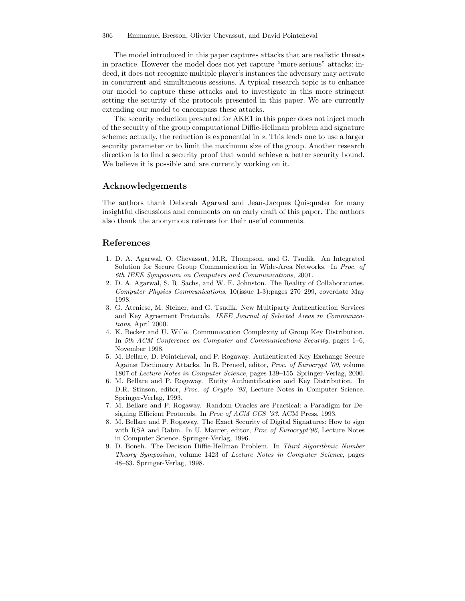The model introduced in this paper captures attacks that are realistic threats in practice. However the model does not yet capture "more serious" attacks: indeed, it does not recognize multiple player's instances the adversary may activate in concurrent and simultaneous sessions. A typical research topic is to enhance our model to capture these attacks and to investigate in this more stringent setting the security of the protocols presented in this paper. We are currently extending our model to encompass these attacks.

The security reduction presented for AKE1 in this paper does not inject much of the security of the group computational Diffie-Hellman problem and signature scheme: actually, the reduction is exponential in s. This leads one to use a larger security parameter or to limit the maximum size of the group. Another research direction is to find a security proof that would achieve a better security bound. We believe it is possible and are currently working on it.

# Acknowledgements

The authors thank Deborah Agarwal and Jean-Jacques Quisquater for many insightful discussions and comments on an early draft of this paper. The authors also thank the anonymous referees for their useful comments.

# References

- 1. D. A. Agarwal, O. Chevassut, M.R. Thompson, and G. Tsudik. An Integrated Solution for Secure Group Communication in Wide-Area Networks. In Proc. of 6th IEEE Symposium on Computers and Communications, 2001.
- 2. D. A. Agarwal, S. R. Sachs, and W. E. Johnston. The Reality of Collaboratories. Computer Physics Communications, 10(issue 1-3):pages 270–299, coverdate May 1998.
- 3. G. Ateniese, M. Steiner, and G. Tsudik. New Multiparty Authentication Services and Key Agreement Protocols. IEEE Journal of Selected Areas in Communications, April 2000.
- 4. K. Becker and U. Wille. Communication Complexity of Group Key Distribution. In 5th ACM Conference on Computer and Communications Security, pages 1–6, November 1998.
- 5. M. Bellare, D. Pointcheval, and P. Rogaway. Authenticated Key Exchange Secure Against Dictionary Attacks. In B. Preneel, editor, Proc. of Eurocrypt '00, volume 1807 of Lecture Notes in Computer Science, pages 139–155. Springer-Verlag, 2000.
- 6. M. Bellare and P. Rogaway. Entity Authentification and Key Distribution. In D.R. Stinson, editor, *Proc. of Crypto '93*, Lecture Notes in Computer Science. Springer-Verlag, 1993.
- 7. M. Bellare and P. Rogaway. Random Oracles are Practical: a Paradigm for Designing Efficient Protocols. In Proc of ACM CCS '93. ACM Press, 1993.
- 8. M. Bellare and P. Rogaway. The Exact Security of Digital Signatures: How to sign with RSA and Rabin. In U. Maurer, editor, *Proc of Eurocrypt'96*, Lecture Notes in Computer Science. Springer-Verlag, 1996.
- 9. D. Boneh. The Decision Diffie-Hellman Problem. In Third Algorithmic Number Theory Symposium, volume 1423 of Lecture Notes in Computer Science, pages 48–63. Springer-Verlag, 1998.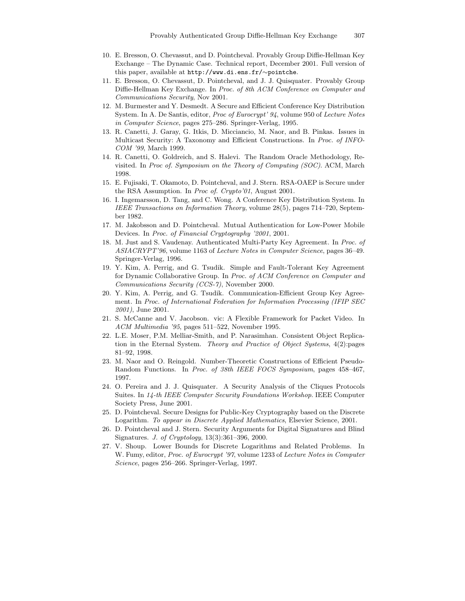- 10. E. Bresson, O. Chevassut, and D. Pointcheval. Provably Group Diffie-Hellman Key Exchange – The Dynamic Case. Technical report, December 2001. Full version of this paper, available at http://www.di.ens.fr/∼pointche.
- 11. E. Bresson, O. Chevassut, D. Pointcheval, and J. J. Quisquater. Provably Group Diffie-Hellman Key Exchange. In Proc. of 8th ACM Conference on Computer and Communications Security, Nov 2001.
- 12. M. Burmester and Y. Desmedt. A Secure and Efficient Conference Key Distribution System. In A. De Santis, editor, Proc of Eurocrypt' 94, volume 950 of Lecture Notes in Computer Science, pages 275–286. Springer-Verlag, 1995.
- 13. R. Canetti, J. Garay, G. Itkis, D. Micciancio, M. Naor, and B. Pinkas. Issues in Multicast Security: A Taxonomy and Efficient Constructions. In Proc. of INFO-COM '99, March 1999.
- 14. R. Canetti, O. Goldreich, and S. Halevi. The Random Oracle Methodology, Revisited. In Proc of. Symposium on the Theory of Computing (SOC). ACM, March 1998.
- 15. E. Fujisaki, T. Okamoto, D. Pointcheval, and J. Stern. RSA-OAEP is Secure under the RSA Assumption. In Proc of. Crypto'01, August 2001.
- 16. I. Ingemarsson, D. Tang, and C. Wong. A Conference Key Distribution System. In IEEE Transactions on Information Theory, volume 28(5), pages 714–720, September 1982.
- 17. M. Jakobsson and D. Pointcheval. Mutual Authentication for Low-Power Mobile Devices. In Proc. of Financial Cryptography '2001, 2001.
- 18. M. Just and S. Vaudenay. Authenticated Multi-Party Key Agreement. In Proc. of ASIACRYPT'96, volume 1163 of Lecture Notes in Computer Science, pages 36–49. Springer-Verlag, 1996.
- 19. Y. Kim, A. Perrig, and G. Tsudik. Simple and Fault-Tolerant Key Agreement for Dynamic Collaborative Group. In Proc. of ACM Conference on Computer and Communications Security (CCS-7), November 2000.
- 20. Y. Kim, A. Perrig, and G. Tsudik. Communication-Efficient Group Key Agreement. In Proc. of International Federation for Information Processing (IFIP SEC 2001), June 2001.
- 21. S. McCanne and V. Jacobson. vic: A Flexible Framework for Packet Video. In ACM Multimedia '95, pages 511–522, November 1995.
- 22. L.E. Moser, P.M. Melliar-Smith, and P. Narasimhan. Consistent Object Replication in the Eternal System. Theory and Practice of Object Systems, 4(2):pages 81–92, 1998.
- 23. M. Naor and O. Reingold. Number-Theoretic Constructions of Efficient Pseudo-Random Functions. In Proc. of 38th IEEE FOCS Symposium, pages 458–467, 1997.
- 24. O. Pereira and J. J. Quisquater. A Security Analysis of the Cliques Protocols Suites. In 14-th IEEE Computer Security Foundations Workshop. IEEE Computer Society Press, June 2001.
- 25. D. Pointcheval. Secure Designs for Public-Key Cryptography based on the Discrete Logarithm. To appear in Discrete Applied Mathematics, Elsevier Science, 2001.
- 26. D. Pointcheval and J. Stern. Security Arguments for Digital Signatures and Blind Signatures. J. of Cryptology, 13(3):361–396, 2000.
- 27. V. Shoup. Lower Bounds for Discrete Logarithms and Related Problems. In W. Fumy, editor, Proc. of Eurocrypt '97, volume 1233 of Lecture Notes in Computer Science, pages 256–266. Springer-Verlag, 1997.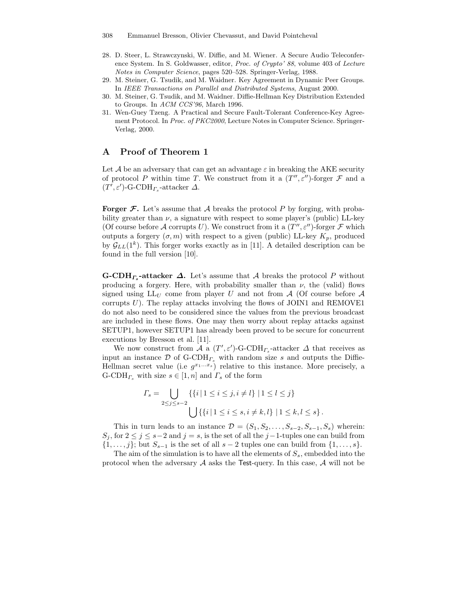- 28. D. Steer, L. Strawczynski, W. Diffie, and M. Wiener. A Secure Audio Teleconference System. In S. Goldwasser, editor, Proc. of Crypto' 88, volume 403 of Lecture Notes in Computer Science, pages 520–528. Springer-Verlag, 1988.
- 29. M. Steiner, G. Tsudik, and M. Waidner. Key Agreement in Dynamic Peer Groups. In IEEE Transactions on Parallel and Distributed Systems, August 2000.
- 30. M. Steiner, G. Tsudik, and M. Waidner. Diffie-Hellman Key Distribution Extended to Groups. In ACM CCS'96, March 1996.
- 31. Wen-Guey Tzeng. A Practical and Secure Fault-Tolerant Conference-Key Agreement Protocol. In Proc. of PKC2000, Lecture Notes in Computer Science. Springer-Verlag, 2000.

# A Proof of Theorem 1

Let A be an adversary that can get an advantage  $\varepsilon$  in breaking the AKE security of protocol P within time T. We construct from it a  $(T'', \varepsilon'')$ -forger F and a  $(T', \varepsilon')$ -G-CDH<sub> $\Gamma_s$ </sub>-attacker  $\Delta$ .

**Forger**  $\mathcal{F}$ **.** Let's assume that  $\mathcal{A}$  breaks the protocol  $P$  by forging, with probability greater than  $\nu$ , a signature with respect to some player's (public) LL-key (Of course before A corrupts U). We construct from it a  $(T'', \varepsilon'')$ -forger F which outputs a forgery  $(\sigma, m)$  with respect to a given (public) LL-key  $K_p$ , produced by  $\mathcal{G}_{LL}(1^k)$ . This forger works exactly as in [11]. A detailed description can be found in the full version [10].

**G-CDH<sub>** $\Gamma_s$ **</sub>-attacker**  $\Delta$ **.** Let's assume that  $\mathcal A$  breaks the protocol  $P$  without producing a forgery. Here, with probability smaller than  $\nu$ , the (valid) flows signed using  $LL_U$  come from player U and not from A (Of course before A corrupts  $U$ ). The replay attacks involving the flows of JOIN1 and REMOVE1 do not also need to be considered since the values from the previous broadcast are included in these flows. One may then worry about replay attacks against SETUP1, however SETUP1 has already been proved to be secure for concurrent executions by Bresson et al. [11].

We now construct from  $\mathcal A$  a  $(T', \varepsilon')$ -G-CDH<sub> $\Gamma_s$ </sub>-attacker  $\Delta$  that receives as input an instance  $\mathcal D$  of G-CDH<sub> $\Gamma_s$ </sub> with random size s and outputs the Diffie-Hellman secret value (i.e  $g^{x_1...x_s}$ ) relative to this instance. More precisely, a  $\text{G-CDH}_{\Gamma_s}$  with size  $s \in [1, n]$  and  $\Gamma_s$  of the form

$$
\Gamma_s = \bigcup_{2 \le j \le s-2} \{ \{i \mid 1 \le i \le j, i \ne l\} \mid 1 \le l \le j \}
$$
  

$$
\bigcup \{ \{i \mid 1 \le i \le s, i \ne k, l\} \mid 1 \le k, l \le s \}.
$$

This in turn leads to an instance  $\mathcal{D} = (S_1, S_2, \ldots, S_{s-2}, S_{s-1}, S_s)$  wherein:  $S_j$ , for  $2 \leq j \leq s-2$  and  $j = s$ , is the set of all the j-1-tuples one can build from  $\{1,\ldots,j\};$  but  $S_{s-1}$  is the set of all  $s-2$  tuples one can build from  $\{1,\ldots,s\}.$ 

The aim of the simulation is to have all the elements of  $S_s$ , embedded into the protocol when the adversary  $A$  asks the Test-query. In this case,  $A$  will not be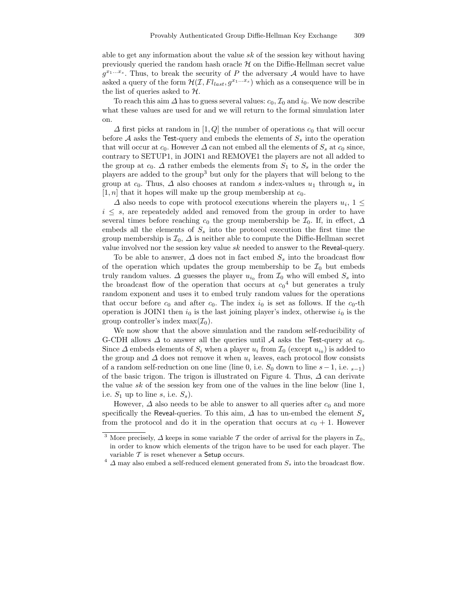able to get any information about the value sk of the session key without having previously queried the random hash oracle  $H$  on the Diffie-Hellman secret value  $g^{x_1...x_s}$ . Thus, to break the security of P the adversary A would have to have asked a query of the form  $\mathcal{H}(\mathcal{I}, Fl_{last}, g^{x_1...x_s})$  which as a consequence will be in the list of queries asked to  $H$ .

To reach this aim  $\Delta$  has to guess several values:  $c_0$ ,  $\mathcal{I}_0$  and  $i_0$ . We now describe what these values are used for and we will return to the formal simulation later on.

 $\Delta$  first picks at random in [1, Q] the number of operations  $c_0$  that will occur before A asks the Test-query and embeds the elements of  $S<sub>s</sub>$  into the operation that will occur at  $c_0$ . However  $\Delta$  can not embed all the elements of  $S_s$  at  $c_0$  since, contrary to SETUP1, in JOIN1 and REMOVE1 the players are not all added to the group at  $c_0$ .  $\Delta$  rather embeds the elements from  $S_1$  to  $S_s$  in the order the players are added to the group<sup>3</sup> but only for the players that will belong to the group at  $c_0$ . Thus,  $\Delta$  also chooses at random s index-values  $u_1$  through  $u_s$  in [1, n] that it hopes will make up the group membership at  $c_0$ .

 $\Delta$  also needs to cope with protocol executions wherein the players  $u_i, 1 \leq$  $i \leq s$ , are repeatedely added and removed from the group in order to have several times before reaching  $c_0$  the group membership be  $\mathcal{I}_0$ . If, in effect,  $\Delta$ embeds all the elements of  $S<sub>s</sub>$  into the protocol execution the first time the group membership is  $\mathcal{I}_0$ ,  $\Delta$  is neither able to compute the Diffie-Hellman secret value involved nor the session key value sk needed to answer to the Reveal-query.

To be able to answer,  $\Delta$  does not in fact embed  $S_s$  into the broadcast flow of the operation which updates the group membership to be  $\mathcal{I}_0$  but embeds truly random values.  $\Delta$  guesses the player  $u_{i_0}$  from  $\mathcal{I}_0$  who will embed  $S_s$  into the broadcast flow of the operation that occurs at  $c_0^4$  but generates a truly random exponent and uses it to embed truly random values for the operations that occur before  $c_0$  and after  $c_0$ . The index  $i_0$  is set as follows. If the  $c_0$ -th operation is JOIN1 then  $i_0$  is the last joining player's index, otherwise  $i_0$  is the group controller's index max $(\mathcal{I}_0)$ .

We now show that the above simulation and the random self-reducibility of G-CDH allows  $\Delta$  to answer all the queries until  $\mathcal A$  asks the Test-query at  $c_0$ . Since  $\Delta$  embeds elements of  $S_i$  when a player  $u_i$  from  $\mathcal{I}_0$  (except  $u_{i_0}$ ) is added to the group and  $\Delta$  does not remove it when  $u_i$  leaves, each protocol flow consists of a random self-reduction on one line (line 0, i.e.  $S_0$  down to line  $s - 1$ , i.e.  $s_{-1}$ ) of the basic trigon. The trigon is illustrated on Figure 4. Thus,  $\Delta$  can derivate the value sk of the session key from one of the values in the line below (line 1, i.e.  $S_1$  up to line s, i.e.  $S_s$ ).

However,  $\Delta$  also needs to be able to answer to all queries after  $c_0$  and more specifically the Reveal-queries. To this aim,  $\Delta$  has to un-embed the element  $S_s$ from the protocol and do it in the operation that occurs at  $c_0 + 1$ . However

<sup>&</sup>lt;sup>3</sup> More precisely,  $\Delta$  keeps in some variable  $\mathcal T$  the order of arrival for the players in  $\mathcal I_0$ , in order to know which elements of the trigon have to be used for each player. The variable  $T$  is reset whenever a Setup occurs.

 $^4$   $\varDelta$  may also embed a self-reduced element generated from  $S_s$  into the broadcast flow.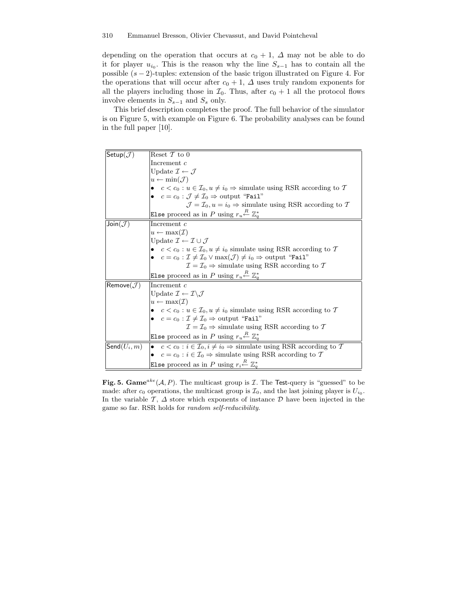depending on the operation that occurs at  $c_0 + 1$ ,  $\Delta$  may not be able to do it for player  $u_{i_0}$ . This is the reason why the line  $S_{s-1}$  has to contain all the possible  $(s - 2)$ -tuples: extension of the basic trigon illustrated on Figure 4. For the operations that will occur after  $c_0 + 1$ ,  $\Delta$  uses truly random exponents for all the players including those in  $\mathcal{I}_0$ . Thus, after  $c_0 + 1$  all the protocol flows involve elements in  $S_{s-1}$  and  $S_s$  only.

This brief description completes the proof. The full behavior of the simulator is on Figure 5, with example on Figure 6. The probability analyses can be found in the full paper [10].

| Setup $(\mathcal{J})$  | Reset $\mathcal T$ to 0                                                                                |  |  |  |
|------------------------|--------------------------------------------------------------------------------------------------------|--|--|--|
|                        | Increment $c$                                                                                          |  |  |  |
|                        | Update $\mathcal{I} \leftarrow \mathcal{J}$                                                            |  |  |  |
|                        | $u \leftarrow \min(\mathcal{J})$                                                                       |  |  |  |
|                        | • $c < c_0 : u \in \mathcal{I}_0, u \neq i_0 \Rightarrow$ simulate using RSR according to T            |  |  |  |
|                        | • $c = c_0 : \mathcal{J} \neq \mathcal{I}_0 \Rightarrow$ output "Fail"                                 |  |  |  |
|                        | $\mathcal{J} = \mathcal{I}_0, u = i_0 \Rightarrow$ simulate using RSR according to T                   |  |  |  |
|                        | Else proceed as in P using $r_u \stackrel{R}{\leftarrow} \mathbb{Z}_q^*$                               |  |  |  |
| $Join(\mathcal{J})$    | Increment $c$                                                                                          |  |  |  |
|                        | $u \leftarrow \max(\mathcal{I})$                                                                       |  |  |  |
|                        | Update $\mathcal{I} \leftarrow \mathcal{I} \cup \mathcal{J}$                                           |  |  |  |
|                        | • $c < c_0 : u \in \mathcal{I}_0, u \neq i_0$ simulate using RSR according to T                        |  |  |  |
|                        | • $c = c_0 : \mathcal{I} \neq \mathcal{I}_0 \vee \max(\mathcal{J}) \neq i_0 \Rightarrow$ output "Fail" |  |  |  |
|                        | $\mathcal{I} = \mathcal{I}_0 \Rightarrow$ simulate using RSR according to $\mathcal{T}$                |  |  |  |
|                        | Else proceed as in P using $r_u \stackrel{R}{\leftarrow} \mathbb{Z}_q^*$                               |  |  |  |
| Remove $(\mathcal{J})$ | Increment $c$                                                                                          |  |  |  |
|                        | Update $\mathcal{I} \leftarrow \mathcal{I} \backslash \mathcal{J}$                                     |  |  |  |
|                        | $u \leftarrow \max(\mathcal{I})$                                                                       |  |  |  |
|                        | • $c < c_0 : u \in \mathcal{I}_0, u \neq i_0$ simulate using RSR according to T                        |  |  |  |
|                        | • $c = c_0 : \mathcal{I} \neq \mathcal{I}_0 \Rightarrow$ output "Fail"                                 |  |  |  |
|                        | $\mathcal{I}=\mathcal{I}_0\Rightarrow$ simulate using RSR according to $\mathcal{T}$                   |  |  |  |
|                        | Else proceed as in P using $r_u \stackrel{R}{\leftarrow} \mathbb{Z}_q^*$                               |  |  |  |
| $\mathsf{Send}(U_i,m)$ | • $c < c_0 : i \in \mathcal{I}_0, i \neq i_0 \Rightarrow$ simulate using RSR according to T            |  |  |  |
|                        | • $c = c_0 : i \in \mathcal{I}_0 \Rightarrow$ simulate using RSR according to T                        |  |  |  |
|                        | Else proceed as in P using $r_i \stackrel{R}{\leftarrow} \mathbb{Z}_q^*$                               |  |  |  |

Fig. 5. Game<sup>ake</sup> $(A, P)$ . The multicast group is *I*. The Test-query is "guessed" to be made: after  $c_0$  operations, the multicast group is  $\mathcal{I}_0$ , and the last joining player is  $U_{i_0}$ . In the variable  $\mathcal{T}, \Delta$  store which exponents of instance  $\mathcal{D}$  have been injected in the game so far. RSR holds for random self-reducibility.